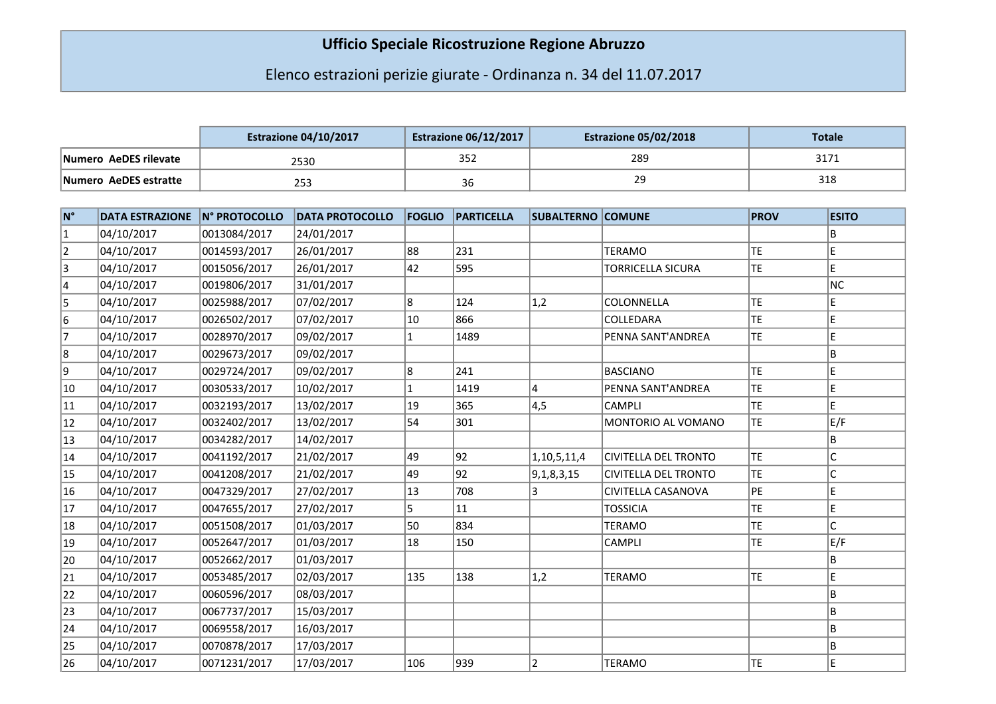## Ufficio Speciale Ricostruzione Regione Abruzzo

## Elenco estrazioni perizie giurate - Ordinanza n. 34 del 11.07.2017

|                       | <b>Estrazione 04/10/2017</b> | <b>Estrazione 06/12/2017</b> | <b>Estrazione 05/02/2018</b> | Totale              |
|-----------------------|------------------------------|------------------------------|------------------------------|---------------------|
| Numero AeDES rilevate | 2530                         | 352                          | 289                          | 2171<br><b>JI/I</b> |
| Numero AeDES estratte | 253                          | 36                           | ٦q<br>ر ے                    | 318                 |

| ∣N° | <b>DATA ESTRAZIONE</b> | N° PROTOCOLLO | <b>DATA PROTOCOLLO</b> | <b>FOGLIO</b> | <b>PARTICELLA</b> | <b>SUBALTERNO COMUNE</b> |                             | <b>PROV</b> | <b>ESITO</b> |
|-----|------------------------|---------------|------------------------|---------------|-------------------|--------------------------|-----------------------------|-------------|--------------|
| 1   | 04/10/2017             | 0013084/2017  | 24/01/2017             |               |                   |                          |                             |             | B            |
| 2   | 04/10/2017             | 0014593/2017  | 26/01/2017             | 88            | 231               |                          | <b>TERAMO</b>               | <b>TE</b>   | E            |
| 3   | 04/10/2017             | 0015056/2017  | 26/01/2017             | 42            | 595               |                          | <b>TORRICELLA SICURA</b>    | <b>TE</b>   | E            |
| 4   | 04/10/2017             | 0019806/2017  | 31/01/2017             |               |                   |                          |                             |             | NC           |
| 5   | 04/10/2017             | 0025988/2017  | 07/02/2017             | 8             | 124               | 1,2                      | COLONNELLA                  | <b>TE</b>   | E            |
| 6   | 04/10/2017             | 0026502/2017  | 07/02/2017             | 10            | 866               |                          | COLLEDARA                   | <b>TE</b>   | E            |
| 7   | 04/10/2017             | 0028970/2017  | 09/02/2017             |               | 1489              |                          | PENNA SANT'ANDREA           | <b>TE</b>   | E            |
| 8   | 04/10/2017             | 0029673/2017  | 09/02/2017             |               |                   |                          |                             |             | B            |
| 9   | 04/10/2017             | 0029724/2017  | 09/02/2017             | 8             | 241               |                          | <b>BASCIANO</b>             | <b>TE</b>   | E            |
| 10  | 04/10/2017             | 0030533/2017  | 10/02/2017             |               | 1419              | 4                        | PENNA SANT'ANDREA           | <b>TE</b>   | E            |
| 11  | 04/10/2017             | 0032193/2017  | 13/02/2017             | 19            | 365               | 4,5                      | <b>CAMPLI</b>               | <b>TE</b>   | E            |
| 12  | 04/10/2017             | 0032402/2017  | 13/02/2017             | 54            | 301               |                          | MONTORIO AL VOMANO          | <b>TE</b>   | E/F          |
| 13  | 04/10/2017             | 0034282/2017  | 14/02/2017             |               |                   |                          |                             |             | B            |
| 14  | 04/10/2017             | 0041192/2017  | 21/02/2017             | 49            | 92                | 1, 10, 5, 11, 4          | <b>CIVITELLA DEL TRONTO</b> | <b>TE</b>   | $\mathsf{C}$ |
| 15  | 04/10/2017             | 0041208/2017  | 21/02/2017             | 49            | 92                | 9,1,8,3,15               | CIVITELLA DEL TRONTO        | <b>TE</b>   |              |
| 16  | 04/10/2017             | 0047329/2017  | 27/02/2017             | 13            | 708               |                          | CIVITELLA CASANOVA          | PE          | E            |
| 17  | 04/10/2017             | 0047655/2017  | 27/02/2017             | 5             | 11                |                          | <b>TOSSICIA</b>             | <b>TE</b>   | E            |
| 18  | 04/10/2017             | 0051508/2017  | 01/03/2017             | 50            | 834               |                          | <b>TERAMO</b>               | <b>TE</b>   | Ċ            |
| 19  | 04/10/2017             | 0052647/2017  | 01/03/2017             | 18            | 150               |                          | <b>CAMPLI</b>               | <b>TE</b>   | E/F          |
| 20  | 04/10/2017             | 0052662/2017  | 01/03/2017             |               |                   |                          |                             |             | B            |
| 21  | 04/10/2017             | 0053485/2017  | 02/03/2017             | 135           | 138               | 1,2                      | <b>TERAMO</b>               | <b>TE</b>   | E            |
| 22  | 04/10/2017             | 0060596/2017  | 08/03/2017             |               |                   |                          |                             |             | B            |
| 23  | 04/10/2017             | 0067737/2017  | 15/03/2017             |               |                   |                          |                             |             | B            |
| 24  | 04/10/2017             | 0069558/2017  | 16/03/2017             |               |                   |                          |                             |             | B            |
| 25  | 04/10/2017             | 0070878/2017  | 17/03/2017             |               |                   |                          |                             |             | B            |
| 26  | 04/10/2017             | 0071231/2017  | 17/03/2017             | 106           | 939               | 2                        | <b>TERAMO</b>               | <b>TE</b>   | E            |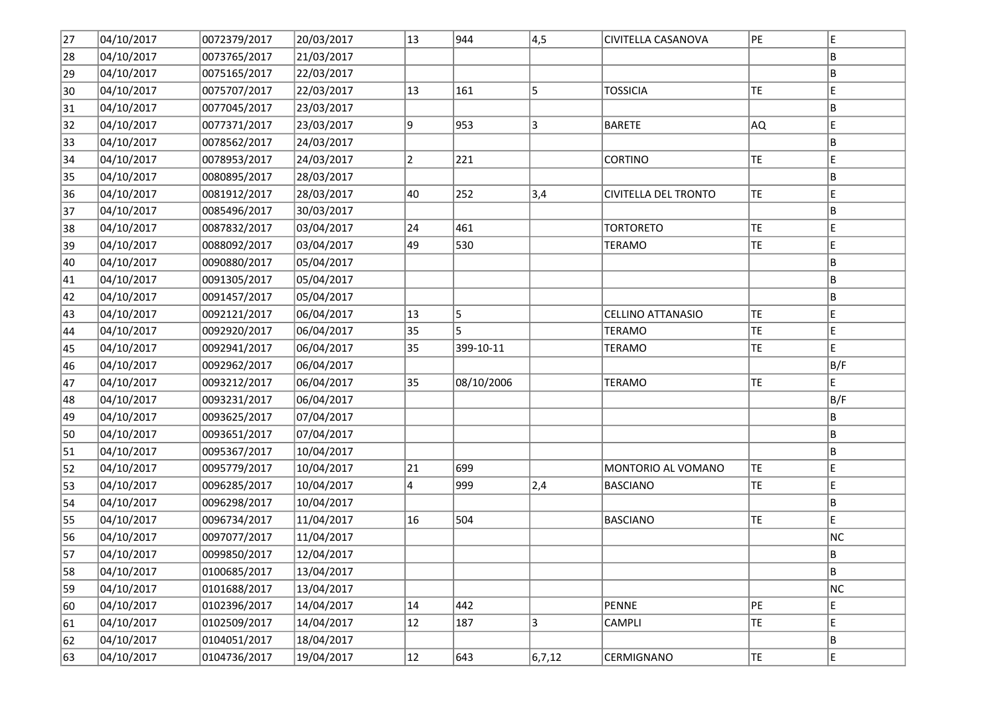| 27 | 04/10/2017 | 0072379/2017 | 20/03/2017 | 13 | 944        | 4,5      | CIVITELLA CASANOVA       | PE        | E   |
|----|------------|--------------|------------|----|------------|----------|--------------------------|-----------|-----|
| 28 | 04/10/2017 | 0073765/2017 | 21/03/2017 |    |            |          |                          |           | B   |
| 29 | 04/10/2017 | 0075165/2017 | 22/03/2017 |    |            |          |                          |           | B   |
| 30 | 04/10/2017 | 0075707/2017 | 22/03/2017 | 13 | 161        | 5        | <b>TOSSICIA</b>          | TE        | E   |
| 31 | 04/10/2017 | 0077045/2017 | 23/03/2017 |    |            |          |                          |           | B   |
| 32 | 04/10/2017 | 0077371/2017 | 23/03/2017 | 9  | 953        | 3        | <b>BARETE</b>            | AQ.       | E   |
| 33 | 04/10/2017 | 0078562/2017 | 24/03/2017 |    |            |          |                          |           | B   |
| 34 | 04/10/2017 | 0078953/2017 | 24/03/2017 | 2  | 221        |          | <b>CORTINO</b>           | <b>TE</b> | E   |
| 35 | 04/10/2017 | 0080895/2017 | 28/03/2017 |    |            |          |                          |           | B   |
| 36 | 04/10/2017 | 0081912/2017 | 28/03/2017 | 40 | 252        | 3,4      | CIVITELLA DEL TRONTO     | TE.       | E   |
| 37 | 04/10/2017 | 0085496/2017 | 30/03/2017 |    |            |          |                          |           | ΙB. |
| 38 | 04/10/2017 | 0087832/2017 | 03/04/2017 | 24 | 461        |          | <b>TORTORETO</b>         | TE        | E   |
| 39 | 04/10/2017 | 0088092/2017 | 03/04/2017 | 49 | 530        |          | <b>TERAMO</b>            | TE        | E   |
| 40 | 04/10/2017 | 0090880/2017 | 05/04/2017 |    |            |          |                          |           | ΙB. |
| 41 | 04/10/2017 | 0091305/2017 | 05/04/2017 |    |            |          |                          |           | B   |
| 42 | 04/10/2017 | 0091457/2017 | 05/04/2017 |    |            |          |                          |           | B   |
| 43 | 04/10/2017 | 0092121/2017 | 06/04/2017 | 13 | 5          |          | <b>CELLINO ATTANASIO</b> | TE        | E   |
| 44 | 04/10/2017 | 0092920/2017 | 06/04/2017 | 35 | 5          |          | <b>TERAMO</b>            | TE        | E   |
| 45 | 04/10/2017 | 0092941/2017 | 06/04/2017 | 35 | 399-10-11  |          | <b>TERAMO</b>            | <b>TE</b> | E.  |
| 46 | 04/10/2017 | 0092962/2017 | 06/04/2017 |    |            |          |                          |           | B/F |
| 47 | 04/10/2017 | 0093212/2017 | 06/04/2017 | 35 | 08/10/2006 |          | <b>TERAMO</b>            | <b>TE</b> | lE. |
| 48 | 04/10/2017 | 0093231/2017 | 06/04/2017 |    |            |          |                          |           | B/F |
| 49 | 04/10/2017 | 0093625/2017 | 07/04/2017 |    |            |          |                          |           | B   |
| 50 | 04/10/2017 | 0093651/2017 | 07/04/2017 |    |            |          |                          |           | B   |
| 51 | 04/10/2017 | 0095367/2017 | 10/04/2017 |    |            |          |                          |           | B   |
| 52 | 04/10/2017 | 0095779/2017 | 10/04/2017 | 21 | 699        |          | MONTORIO AL VOMANO       | <b>TE</b> | E   |
| 53 | 04/10/2017 | 0096285/2017 | 10/04/2017 | 4  | 999        | 2,4      | <b>BASCIANO</b>          | TE        | E   |
| 54 | 04/10/2017 | 0096298/2017 | 10/04/2017 |    |            |          |                          |           | B   |
| 55 | 04/10/2017 | 0096734/2017 | 11/04/2017 | 16 | 504        |          | <b>BASCIANO</b>          | TE        | E.  |
| 56 | 04/10/2017 | 0097077/2017 | 11/04/2017 |    |            |          |                          |           | NC  |
| 57 | 04/10/2017 | 0099850/2017 | 12/04/2017 |    |            |          |                          |           | B   |
| 58 | 04/10/2017 | 0100685/2017 | 13/04/2017 |    |            |          |                          |           | B.  |
| 59 | 04/10/2017 | 0101688/2017 | 13/04/2017 |    |            |          |                          |           | NC  |
| 60 | 04/10/2017 | 0102396/2017 | 14/04/2017 | 14 | 442        |          | PENNE                    | PE        | E   |
| 61 | 04/10/2017 | 0102509/2017 | 14/04/2017 | 12 | 187        | 3        | CAMPLI                   | TE        | E   |
| 62 | 04/10/2017 | 0104051/2017 | 18/04/2017 |    |            |          |                          |           | B   |
| 63 | 04/10/2017 | 0104736/2017 | 19/04/2017 | 12 | 643        | 6, 7, 12 | <b>CERMIGNANO</b>        | TE.       | E   |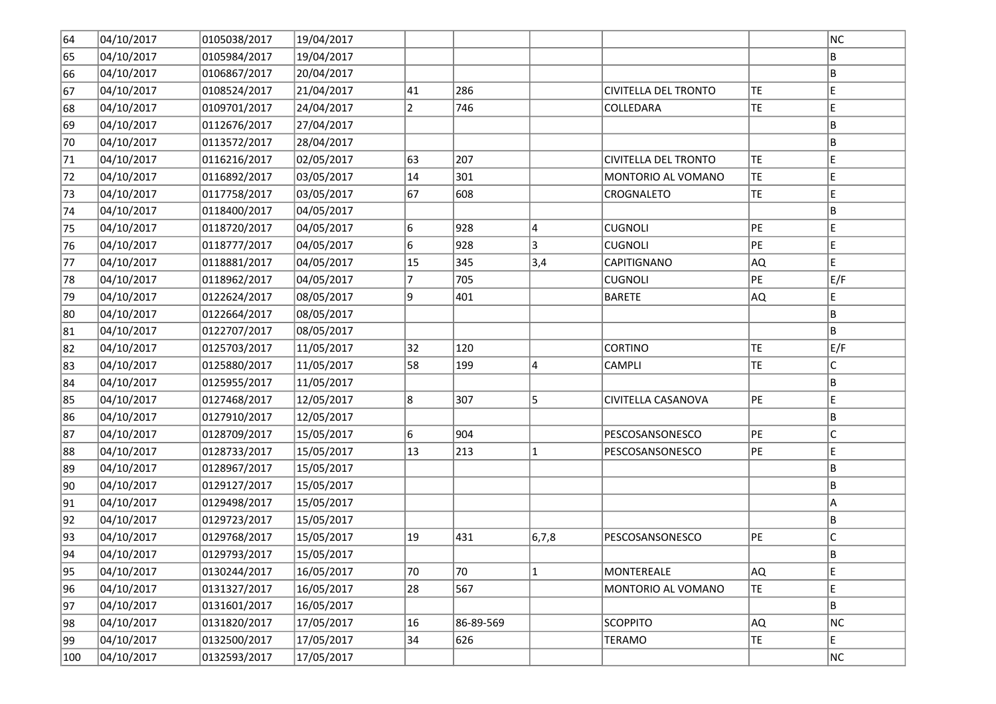| 64  | 04/10/2017 | 0105038/2017 | 19/04/2017 |                |           |              |                      |           | NC.         |
|-----|------------|--------------|------------|----------------|-----------|--------------|----------------------|-----------|-------------|
| 65  | 04/10/2017 | 0105984/2017 | 19/04/2017 |                |           |              |                      |           | ΙB          |
| 66  | 04/10/2017 | 0106867/2017 | 20/04/2017 |                |           |              |                      |           | B           |
| 67  | 04/10/2017 | 0108524/2017 | 21/04/2017 | 41             | 286       |              | CIVITELLA DEL TRONTO | TE        | E           |
| 68  | 04/10/2017 | 0109701/2017 | 24/04/2017 | $\overline{2}$ | 746       |              | COLLEDARA            | TE        | E           |
| 69  | 04/10/2017 | 0112676/2017 | 27/04/2017 |                |           |              |                      |           | B           |
| 70  | 04/10/2017 | 0113572/2017 | 28/04/2017 |                |           |              |                      |           | B           |
| 71  | 04/10/2017 | 0116216/2017 | 02/05/2017 | 63             | 207       |              | CIVITELLA DEL TRONTO | <b>TE</b> | E           |
| 72  | 04/10/2017 | 0116892/2017 | 03/05/2017 | 14             | 301       |              | MONTORIO AL VOMANO   | TE        | E           |
| 73  | 04/10/2017 | 0117758/2017 | 03/05/2017 | 67             | 608       |              | CROGNALETO           | TE        | E           |
| 74  | 04/10/2017 | 0118400/2017 | 04/05/2017 |                |           |              |                      |           | B.          |
| 75  | 04/10/2017 | 0118720/2017 | 04/05/2017 | 6              | 928       | 4            | <b>CUGNOLI</b>       | PE        | E           |
| 76  | 04/10/2017 | 0118777/2017 | 04/05/2017 | 6              | 928       | 3            | <b>CUGNOLI</b>       | PE        | E           |
| 77  | 04/10/2017 | 0118881/2017 | 04/05/2017 | 15             | 345       | 3,4          | CAPITIGNANO          | AQ)       | E           |
| 78  | 04/10/2017 | 0118962/2017 | 04/05/2017 | 7              | 705       |              | <b>CUGNOLI</b>       | PE        | E/F         |
| 79  | 04/10/2017 | 0122624/2017 | 08/05/2017 | 9              | 401       |              | <b>BARETE</b>        | AQ.       | E           |
| 80  | 04/10/2017 | 0122664/2017 | 08/05/2017 |                |           |              |                      |           | B           |
| 81  | 04/10/2017 | 0122707/2017 | 08/05/2017 |                |           |              |                      |           | B           |
| 82  | 04/10/2017 | 0125703/2017 | 11/05/2017 | 32             | 120       |              | <b>CORTINO</b>       | TE        | E/F         |
| 83  | 04/10/2017 | 0125880/2017 | 11/05/2017 | 58             | 199       | 4            | <b>CAMPLI</b>        | <b>TE</b> | $\mathsf C$ |
| 84  | 04/10/2017 | 0125955/2017 | 11/05/2017 |                |           |              |                      |           | B.          |
| 85  | 04/10/2017 | 0127468/2017 | 12/05/2017 | 8              | 307       | 5            | CIVITELLA CASANOVA   | PE        | E           |
| 86  | 04/10/2017 | 0127910/2017 | 12/05/2017 |                |           |              |                      |           | B           |
| 87  | 04/10/2017 | 0128709/2017 | 15/05/2017 | 6              | 904       |              | PESCOSANSONESCO      | PE        | c           |
| 88  | 04/10/2017 | 0128733/2017 | 15/05/2017 | 13             | 213       | $\mathbf{1}$ | PESCOSANSONESCO      | PE        | E           |
| 89  | 04/10/2017 | 0128967/2017 | 15/05/2017 |                |           |              |                      |           | B           |
| 90  | 04/10/2017 | 0129127/2017 | 15/05/2017 |                |           |              |                      |           | B           |
| 91  | 04/10/2017 | 0129498/2017 | 15/05/2017 |                |           |              |                      |           | A           |
| 92  | 04/10/2017 | 0129723/2017 | 15/05/2017 |                |           |              |                      |           | B           |
| 93  | 04/10/2017 | 0129768/2017 | 15/05/2017 | 19             | 431       | 6, 7, 8      | PESCOSANSONESCO      | PE        | C           |
| 94  | 04/10/2017 | 0129793/2017 | 15/05/2017 |                |           |              |                      |           | B           |
| 95  | 04/10/2017 | 0130244/2017 | 16/05/2017 | 70             | 70        | $\mathbf{1}$ | MONTEREALE           | AQ.       | E           |
| 96  | 04/10/2017 | 0131327/2017 | 16/05/2017 | 28             | 567       |              | MONTORIO AL VOMANO   | TE        | E           |
| 97  | 04/10/2017 | 0131601/2017 | 16/05/2017 |                |           |              |                      |           | B           |
| 98  | 04/10/2017 | 0131820/2017 | 17/05/2017 | 16             | 86-89-569 |              | <b>SCOPPITO</b>      | AQ.       | NC          |
| 99  | 04/10/2017 | 0132500/2017 | 17/05/2017 | 34             | 626       |              | <b>TERAMO</b>        | TE        | E           |
| 100 | 04/10/2017 | 0132593/2017 | 17/05/2017 |                |           |              |                      |           | NC.         |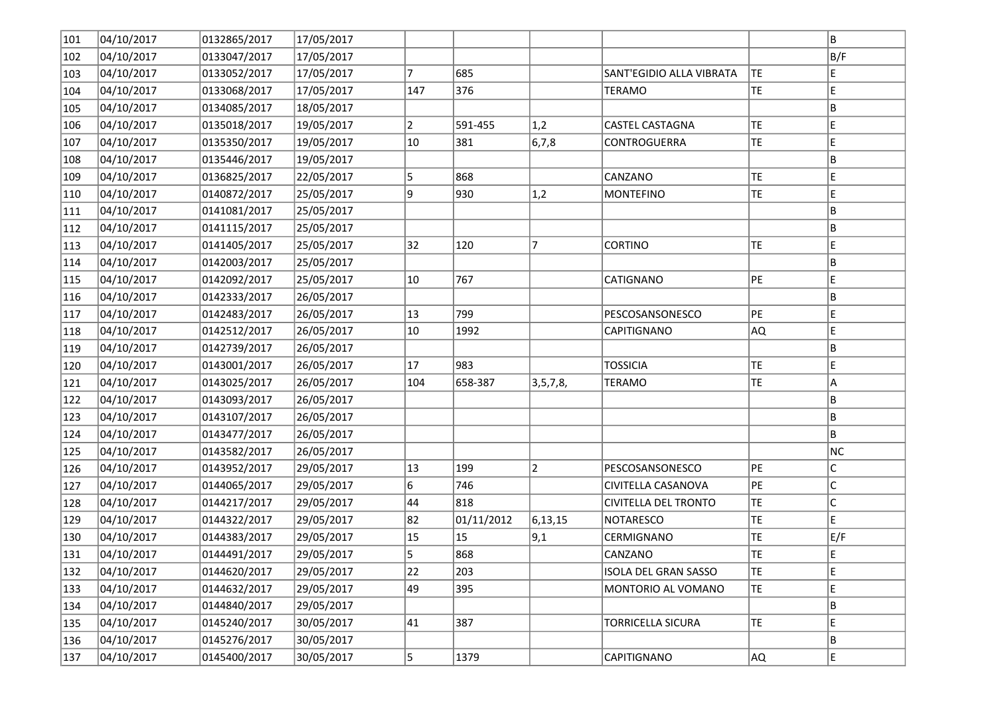| 101 | 04/10/2017 | 0132865/2017 | 17/05/2017 |                |            |                |                             |           | B           |
|-----|------------|--------------|------------|----------------|------------|----------------|-----------------------------|-----------|-------------|
| 102 | 04/10/2017 | 0133047/2017 | 17/05/2017 |                |            |                |                             |           | B/F         |
| 103 | 04/10/2017 | 0133052/2017 | 17/05/2017 | 7              | 685        |                | SANT'EGIDIO ALLA VIBRATA    | TE        | E.          |
| 104 | 04/10/2017 | 0133068/2017 | 17/05/2017 | 147            | 376        |                | <b>TERAMO</b>               | TE        | E           |
| 105 | 04/10/2017 | 0134085/2017 | 18/05/2017 |                |            |                |                             |           | B           |
| 106 | 04/10/2017 | 0135018/2017 | 19/05/2017 | $\overline{2}$ | 591-455    | 1,2            | <b>CASTEL CASTAGNA</b>      | TE        | E.          |
| 107 | 04/10/2017 | 0135350/2017 | 19/05/2017 | 10             | 381        | 6,7,8          | CONTROGUERRA                | TE        | E           |
| 108 | 04/10/2017 | 0135446/2017 | 19/05/2017 |                |            |                |                             |           | B           |
| 109 | 04/10/2017 | 0136825/2017 | 22/05/2017 | 5              | 868        |                | CANZANO                     | <b>TE</b> | E           |
| 110 | 04/10/2017 | 0140872/2017 | 25/05/2017 | 9              | 930        | 1,2            | <b>MONTEFINO</b>            | TE        | E           |
| 111 | 04/10/2017 | 0141081/2017 | 25/05/2017 |                |            |                |                             |           | B           |
| 112 | 04/10/2017 | 0141115/2017 | 25/05/2017 |                |            |                |                             |           | B           |
| 113 | 04/10/2017 | 0141405/2017 | 25/05/2017 | 32             | 120        | 7              | <b>CORTINO</b>              | TE        | E           |
| 114 | 04/10/2017 | 0142003/2017 | 25/05/2017 |                |            |                |                             |           | B           |
| 115 | 04/10/2017 | 0142092/2017 | 25/05/2017 | 10             | 767        |                | CATIGNANO                   | PE        | E           |
| 116 | 04/10/2017 | 0142333/2017 | 26/05/2017 |                |            |                |                             |           | B           |
| 117 | 04/10/2017 | 0142483/2017 | 26/05/2017 | 13             | 799        |                | PESCOSANSONESCO             | PE        | E           |
| 118 | 04/10/2017 | 0142512/2017 | 26/05/2017 | 10             | 1992       |                | CAPITIGNANO                 | AQ.       | E           |
| 119 | 04/10/2017 | 0142739/2017 | 26/05/2017 |                |            |                |                             |           | B           |
| 120 | 04/10/2017 | 0143001/2017 | 26/05/2017 | 17             | 983        |                | <b>TOSSICIA</b>             | <b>TE</b> | E           |
| 121 | 04/10/2017 | 0143025/2017 | 26/05/2017 | 104            | 658-387    | 3, 5, 7, 8,    | <b>TERAMO</b>               | <b>TE</b> | A           |
| 122 | 04/10/2017 | 0143093/2017 | 26/05/2017 |                |            |                |                             |           | B           |
| 123 | 04/10/2017 | 0143107/2017 | 26/05/2017 |                |            |                |                             |           | B           |
| 124 | 04/10/2017 | 0143477/2017 | 26/05/2017 |                |            |                |                             |           | B           |
| 125 | 04/10/2017 | 0143582/2017 | 26/05/2017 |                |            |                |                             |           | NC          |
| 126 | 04/10/2017 | 0143952/2017 | 29/05/2017 | 13             | 199        | $\overline{2}$ | PESCOSANSONESCO             | PE        | c           |
| 127 | 04/10/2017 | 0144065/2017 | 29/05/2017 | 6              | 746        |                | CIVITELLA CASANOVA          | PE        | c           |
| 128 | 04/10/2017 | 0144217/2017 | 29/05/2017 | 44             | 818        |                | CIVITELLA DEL TRONTO        | TE        | $\mathsf C$ |
| 129 | 04/10/2017 | 0144322/2017 | 29/05/2017 | 82             | 01/11/2012 | 6,13,15        | <b>NOTARESCO</b>            | TE        | E           |
| 130 | 04/10/2017 | 0144383/2017 | 29/05/2017 | 15             | 15         | 9,1            | CERMIGNANO                  | TE        | E/F         |
| 131 | 04/10/2017 | 0144491/2017 | 29/05/2017 | 5              | 868        |                | CANZANO                     | TE.       | E.          |
| 132 | 04/10/2017 | 0144620/2017 | 29/05/2017 | 22             | 203        |                | <b>ISOLA DEL GRAN SASSO</b> | TE        | E           |
| 133 | 04/10/2017 | 0144632/2017 | 29/05/2017 | 49             | 395        |                | MONTORIO AL VOMANO          | TE        | E           |
| 134 | 04/10/2017 | 0144840/2017 | 29/05/2017 |                |            |                |                             |           | B           |
| 135 | 04/10/2017 | 0145240/2017 | 30/05/2017 | 41             | 387        |                | <b>TORRICELLA SICURA</b>    | TE        | E           |
| 136 | 04/10/2017 | 0145276/2017 | 30/05/2017 |                |            |                |                             |           | B           |
| 137 | 04/10/2017 | 0145400/2017 | 30/05/2017 | 5              | 1379       |                | CAPITIGNANO                 | AQ        | E           |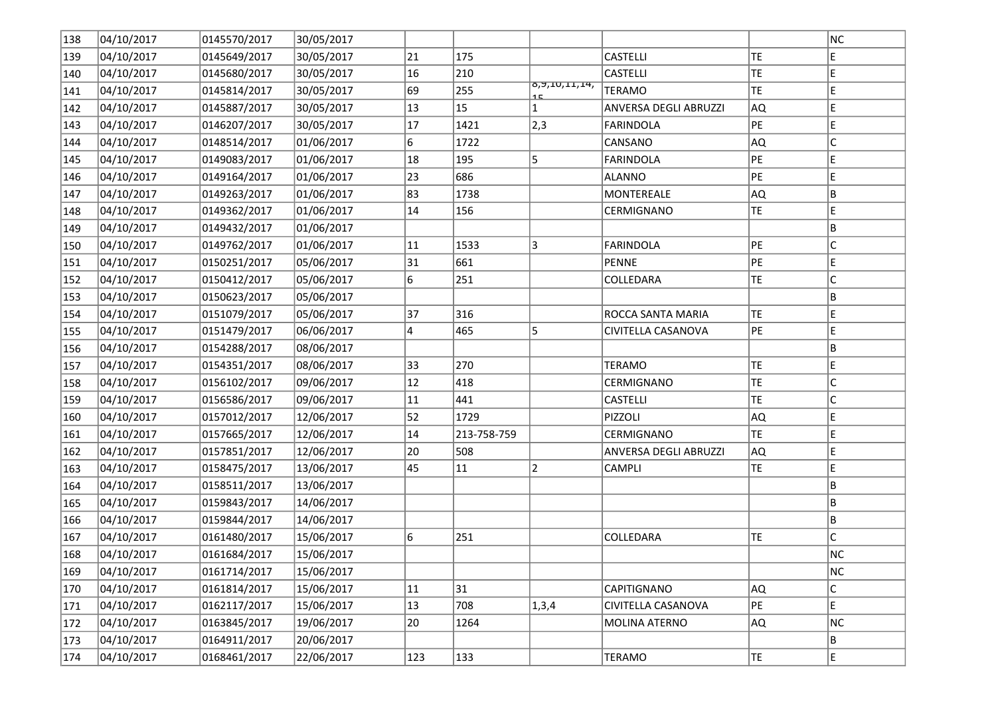| 138 | 04/10/2017 | 0145570/2017 | 30/05/2017 |     |             |                     |                       |           | NC |
|-----|------------|--------------|------------|-----|-------------|---------------------|-----------------------|-----------|----|
| 139 | 04/10/2017 | 0145649/2017 | 30/05/2017 | 21  | 175         |                     | <b>CASTELLI</b>       | TE        | Е  |
| 140 | 04/10/2017 | 0145680/2017 | 30/05/2017 | 16  | 210         |                     | <b>CASTELLI</b>       | TE.       | E  |
| 141 | 04/10/2017 | 0145814/2017 | 30/05/2017 | 69  | 255         | 0,9,10,11,14,<br>15 | <b>TERAMO</b>         | TE.       | E  |
| 142 | 04/10/2017 | 0145887/2017 | 30/05/2017 | 13  | 15          | $\mathbf{1}$        | ANVERSA DEGLI ABRUZZI | AQ.       | E  |
| 143 | 04/10/2017 | 0146207/2017 | 30/05/2017 | 17  | 1421        | $ 2,3\rangle$       | <b>FARINDOLA</b>      | PE        | E  |
| 144 | 04/10/2017 | 0148514/2017 | 01/06/2017 | 6   | 1722        |                     | CANSANO               | AQ.       | С  |
| 145 | 04/10/2017 | 0149083/2017 | 01/06/2017 | 18  | 195         | 5                   | <b>FARINDOLA</b>      | PE        | E  |
| 146 | 04/10/2017 | 0149164/2017 | 01/06/2017 | 23  | 686         |                     | <b>ALANNO</b>         | PE        | Е  |
| 147 | 04/10/2017 | 0149263/2017 | 01/06/2017 | 83  | 1738        |                     | MONTEREALE            | AQ.       | B  |
| 148 | 04/10/2017 | 0149362/2017 | 01/06/2017 | 14  | 156         |                     | CERMIGNANO            | <b>TE</b> | E  |
| 149 | 04/10/2017 | 0149432/2017 | 01/06/2017 |     |             |                     |                       |           | В  |
| 150 | 04/10/2017 | 0149762/2017 | 01/06/2017 | 11  | 1533        | 3                   | <b>FARINDOLA</b>      | PE        | C  |
| 151 | 04/10/2017 | 0150251/2017 | 05/06/2017 | 31  | 661         |                     | <b>PENNE</b>          | PE        | E  |
| 152 | 04/10/2017 | 0150412/2017 | 05/06/2017 | 6   | 251         |                     | COLLEDARA             | TE        | C  |
| 153 | 04/10/2017 | 0150623/2017 | 05/06/2017 |     |             |                     |                       |           | В  |
| 154 | 04/10/2017 | 0151079/2017 | 05/06/2017 | 37  | 316         |                     | ROCCA SANTA MARIA     | TE.       | E  |
| 155 | 04/10/2017 | 0151479/2017 | 06/06/2017 | 4   | 465         | 5                   | CIVITELLA CASANOVA    | PE        | E  |
| 156 | 04/10/2017 | 0154288/2017 | 08/06/2017 |     |             |                     |                       |           | B  |
| 157 | 04/10/2017 | 0154351/2017 | 08/06/2017 | 33  | 270         |                     | <b>TERAMO</b>         | TE        | E  |
| 158 | 04/10/2017 | 0156102/2017 | 09/06/2017 | 12  | 418         |                     | CERMIGNANO            | TE        | С  |
| 159 | 04/10/2017 | 0156586/2017 | 09/06/2017 | 11  | 441         |                     | <b>CASTELLI</b>       | TE.       | C  |
| 160 | 04/10/2017 | 0157012/2017 | 12/06/2017 | 52  | 1729        |                     | PIZZOLI               | AQ        | E  |
| 161 | 04/10/2017 | 0157665/2017 | 12/06/2017 | 14  | 213-758-759 |                     | CERMIGNANO            | TE        | E  |
| 162 | 04/10/2017 | 0157851/2017 | 12/06/2017 | 20  | 508         |                     | ANVERSA DEGLI ABRUZZI | AQ        | E  |
| 163 | 04/10/2017 | 0158475/2017 | 13/06/2017 | 45  | 11          | $\overline{2}$      | CAMPLI                | TE        | E  |
| 164 | 04/10/2017 | 0158511/2017 | 13/06/2017 |     |             |                     |                       |           | B  |
| 165 | 04/10/2017 | 0159843/2017 | 14/06/2017 |     |             |                     |                       |           | В  |
| 166 | 04/10/2017 | 0159844/2017 | 14/06/2017 |     |             |                     |                       |           | В  |
| 167 | 04/10/2017 | 0161480/2017 | 15/06/2017 | 6   | 251         |                     | COLLEDARA             | <b>TE</b> | C  |
| 168 | 04/10/2017 | 0161684/2017 | 15/06/2017 |     |             |                     |                       |           | NC |
| 169 | 04/10/2017 | 0161714/2017 | 15/06/2017 |     |             |                     |                       |           | NC |
| 170 | 04/10/2017 | 0161814/2017 | 15/06/2017 | 11  | 31          |                     | CAPITIGNANO           | AQ        | C  |
| 171 | 04/10/2017 | 0162117/2017 | 15/06/2017 | 13  | 708         | 1,3,4               | CIVITELLA CASANOVA    | PE        | E  |
| 172 | 04/10/2017 | 0163845/2017 | 19/06/2017 | 20  | 1264        |                     | MOLINA ATERNO         | AQ        | NC |
| 173 | 04/10/2017 | 0164911/2017 | 20/06/2017 |     |             |                     |                       |           | В  |
| 174 | 04/10/2017 | 0168461/2017 | 22/06/2017 | 123 | 133         |                     | TERAMO                | TE.       | E  |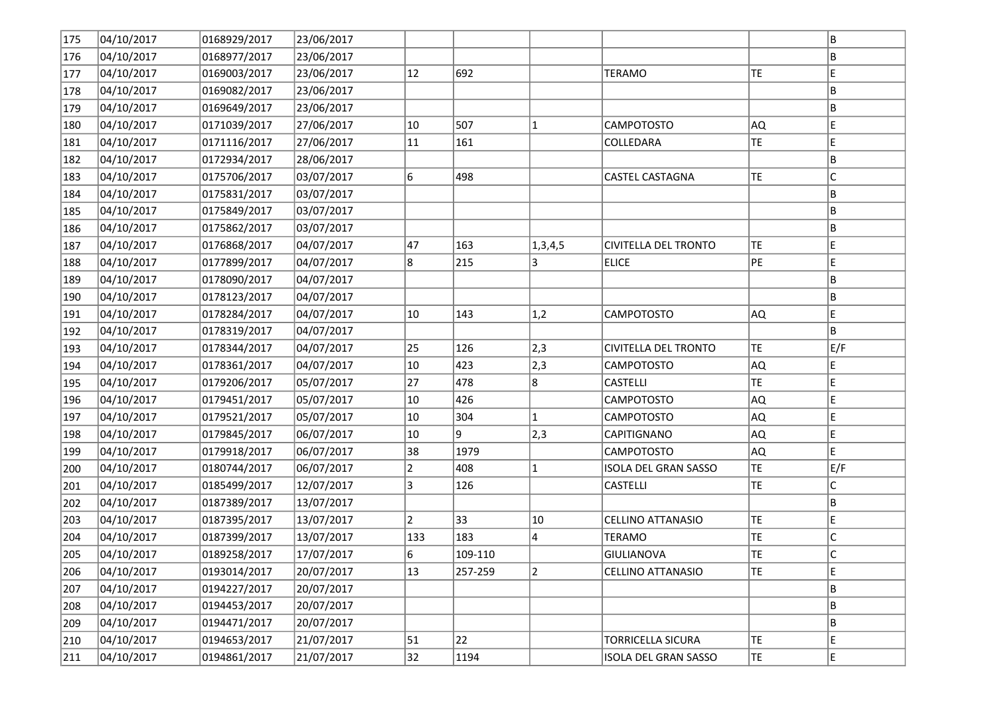| 175 | 04/10/2017 | 0168929/2017 | 23/06/2017 |                |         |                |                             |           | B           |
|-----|------------|--------------|------------|----------------|---------|----------------|-----------------------------|-----------|-------------|
| 176 | 04/10/2017 | 0168977/2017 | 23/06/2017 |                |         |                |                             |           | ΙB          |
| 177 | 04/10/2017 | 0169003/2017 | 23/06/2017 | 12             | 692     |                | <b>TERAMO</b>               | TE        | E           |
| 178 | 04/10/2017 | 0169082/2017 | 23/06/2017 |                |         |                |                             |           | B           |
| 179 | 04/10/2017 | 0169649/2017 | 23/06/2017 |                |         |                |                             |           | B           |
| 180 | 04/10/2017 | 0171039/2017 | 27/06/2017 | 10             | 507     | 1              | CAMPOTOSTO                  | AQ.       | E           |
| 181 | 04/10/2017 | 0171116/2017 | 27/06/2017 | 11             | 161     |                | COLLEDARA                   | <b>TE</b> | E           |
| 182 | 04/10/2017 | 0172934/2017 | 28/06/2017 |                |         |                |                             |           | B           |
| 183 | 04/10/2017 | 0175706/2017 | 03/07/2017 | 6              | 498     |                | <b>CASTEL CASTAGNA</b>      | TE        | $\mathsf C$ |
| 184 | 04/10/2017 | 0175831/2017 | 03/07/2017 |                |         |                |                             |           | B           |
| 185 | 04/10/2017 | 0175849/2017 | 03/07/2017 |                |         |                |                             |           | B.          |
| 186 | 04/10/2017 | 0175862/2017 | 03/07/2017 |                |         |                |                             |           | B           |
| 187 | 04/10/2017 | 0176868/2017 | 04/07/2017 | 47             | 163     | 1,3,4,5        | <b>CIVITELLA DEL TRONTO</b> | TE.       | E           |
| 188 | 04/10/2017 | 0177899/2017 | 04/07/2017 | 8              | 215     | 3              | <b>ELICE</b>                | PE        | E           |
| 189 | 04/10/2017 | 0178090/2017 | 04/07/2017 |                |         |                |                             |           | B           |
| 190 | 04/10/2017 | 0178123/2017 | 04/07/2017 |                |         |                |                             |           | B           |
| 191 | 04/10/2017 | 0178284/2017 | 04/07/2017 | 10             | 143     | 1,2            | CAMPOTOSTO                  | AQ.       | E           |
| 192 | 04/10/2017 | 0178319/2017 | 04/07/2017 |                |         |                |                             |           | B           |
| 193 | 04/10/2017 | 0178344/2017 | 04/07/2017 | 25             | 126     | 2,3            | CIVITELLA DEL TRONTO        | TE        | E/F         |
| 194 | 04/10/2017 | 0178361/2017 | 04/07/2017 | 10             | 423     | 2,3            | CAMPOTOSTO                  | AQ)       | E           |
| 195 | 04/10/2017 | 0179206/2017 | 05/07/2017 | 27             | 478     | 8              | <b>CASTELLI</b>             | <b>TE</b> | E           |
| 196 | 04/10/2017 | 0179451/2017 | 05/07/2017 | 10             | 426     |                | CAMPOTOSTO                  | AQ        | E           |
| 197 | 04/10/2017 | 0179521/2017 | 05/07/2017 | 10             | 304     | 1              | CAMPOTOSTO                  | AQ,       | E           |
| 198 | 04/10/2017 | 0179845/2017 | 06/07/2017 | 10             | 9       | 2,3            | CAPITIGNANO                 | AQ        | E           |
| 199 | 04/10/2017 | 0179918/2017 | 06/07/2017 | 38             | 1979    |                | CAMPOTOSTO                  | AQ        | E.          |
| 200 | 04/10/2017 | 0180744/2017 | 06/07/2017 | $\overline{2}$ | 408     | 1              | ISOLA DEL GRAN SASSO        | TE        | E/F         |
| 201 | 04/10/2017 | 0185499/2017 | 12/07/2017 | 3              | 126     |                | <b>CASTELLI</b>             | <b>TE</b> | $\mathsf C$ |
| 202 | 04/10/2017 | 0187389/2017 | 13/07/2017 |                |         |                |                             |           | B           |
| 203 | 04/10/2017 | 0187395/2017 | 13/07/2017 | $\overline{2}$ | 33      | 10             | CELLINO ATTANASIO           | TE        | E           |
| 204 | 04/10/2017 | 0187399/2017 | 13/07/2017 | 133            | 183     | 4              | <b>TERAMO</b>               | TE        | C           |
| 205 | 04/10/2017 | 0189258/2017 | 17/07/2017 | 6              | 109-110 |                | GIULIANOVA                  | TE        | lc.         |
| 206 | 04/10/2017 | 0193014/2017 | 20/07/2017 | $ 13\rangle$   | 257-259 | $\overline{2}$ | <b>CELLINO ATTANASIO</b>    | TE        | E           |
| 207 | 04/10/2017 | 0194227/2017 | 20/07/2017 |                |         |                |                             |           | B           |
| 208 | 04/10/2017 | 0194453/2017 | 20/07/2017 |                |         |                |                             |           | B           |
| 209 | 04/10/2017 | 0194471/2017 | 20/07/2017 |                |         |                |                             |           | B           |
| 210 | 04/10/2017 | 0194653/2017 | 21/07/2017 | 51             | 22      |                | <b>TORRICELLA SICURA</b>    | TE        | E           |
| 211 | 04/10/2017 | 0194861/2017 | 21/07/2017 | 32             | 1194    |                | <b>ISOLA DEL GRAN SASSO</b> | TE        | E           |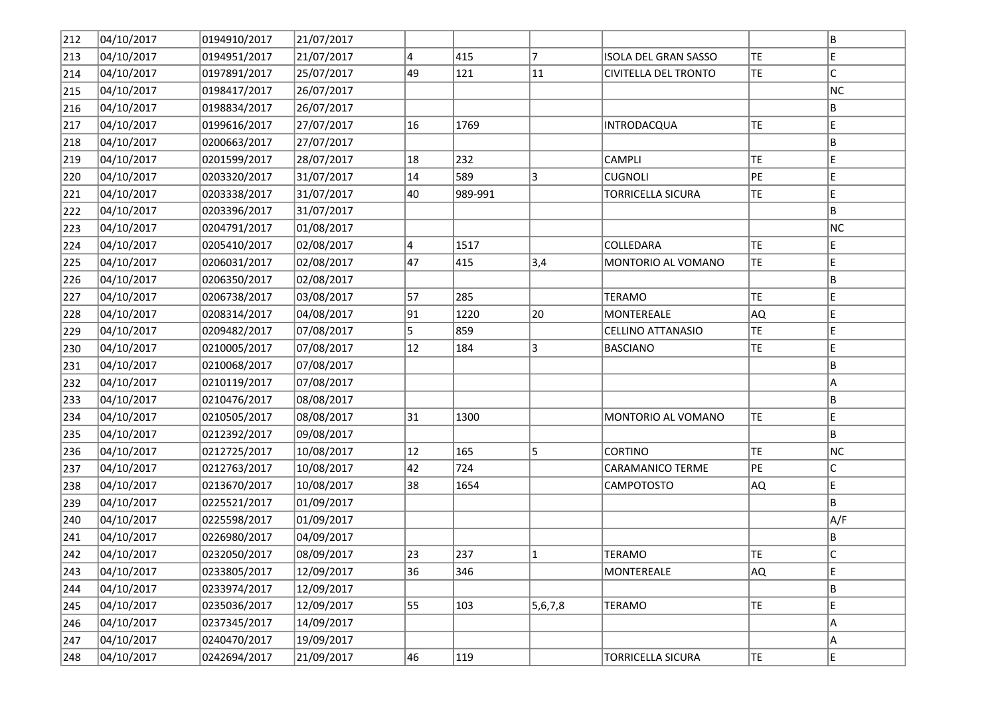| 212 | 04/10/2017 | 0194910/2017 | 21/07/2017 |    |         |                |                             |           | B   |
|-----|------------|--------------|------------|----|---------|----------------|-----------------------------|-----------|-----|
| 213 | 04/10/2017 | 0194951/2017 | 21/07/2017 | 4  | 415     | 7              | ISOLA DEL GRAN SASSO        | TE        | E   |
| 214 | 04/10/2017 | 0197891/2017 | 25/07/2017 | 49 | 121     | 11             | <b>CIVITELLA DEL TRONTO</b> | TE        | c   |
| 215 | 04/10/2017 | 0198417/2017 | 26/07/2017 |    |         |                |                             |           | NC  |
| 216 | 04/10/2017 | 0198834/2017 | 26/07/2017 |    |         |                |                             |           | B   |
| 217 | 04/10/2017 | 0199616/2017 | 27/07/2017 | 16 | 1769    |                | INTRODACQUA                 | TE        | E   |
| 218 | 04/10/2017 | 0200663/2017 | 27/07/2017 |    |         |                |                             |           | B   |
| 219 | 04/10/2017 | 0201599/2017 | 28/07/2017 | 18 | 232     |                | <b>CAMPLI</b>               | TE        | E   |
| 220 | 04/10/2017 | 0203320/2017 | 31/07/2017 | 14 | 589     | 3              | <b>CUGNOLI</b>              | PE        | E   |
| 221 | 04/10/2017 | 0203338/2017 | 31/07/2017 | 40 | 989-991 |                | TORRICELLA SICURA           | TE        | E   |
| 222 | 04/10/2017 | 0203396/2017 | 31/07/2017 |    |         |                |                             |           | B.  |
| 223 | 04/10/2017 | 0204791/2017 | 01/08/2017 |    |         |                |                             |           | NC  |
| 224 | 04/10/2017 | 0205410/2017 | 02/08/2017 | 4  | 1517    |                | COLLEDARA                   | TE        | E.  |
| 225 | 04/10/2017 | 0206031/2017 | 02/08/2017 | 47 | 415     | 3,4            | MONTORIO AL VOMANO          | TE        | E   |
| 226 | 04/10/2017 | 0206350/2017 | 02/08/2017 |    |         |                |                             |           | B   |
| 227 | 04/10/2017 | 0206738/2017 | 03/08/2017 | 57 | 285     |                | <b>TERAMO</b>               | <b>TE</b> | E   |
| 228 | 04/10/2017 | 0208314/2017 | 04/08/2017 | 91 | 1220    | 20             | MONTEREALE                  | AQ        | E   |
| 229 | 04/10/2017 | 0209482/2017 | 07/08/2017 | 5  | 859     |                | CELLINO ATTANASIO           | TE        | E   |
| 230 | 04/10/2017 | 0210005/2017 | 07/08/2017 | 12 | 184     | 3              | <b>BASCIANO</b>             | TE        | E   |
| 231 | 04/10/2017 | 0210068/2017 | 07/08/2017 |    |         |                |                             |           | B   |
| 232 | 04/10/2017 | 0210119/2017 | 07/08/2017 |    |         |                |                             |           | A   |
| 233 | 04/10/2017 | 0210476/2017 | 08/08/2017 |    |         |                |                             |           | B   |
| 234 | 04/10/2017 | 0210505/2017 | 08/08/2017 | 31 | 1300    |                | MONTORIO AL VOMANO          | <b>TE</b> | E   |
| 235 | 04/10/2017 | 0212392/2017 | 09/08/2017 |    |         |                |                             |           | B   |
| 236 | 04/10/2017 | 0212725/2017 | 10/08/2017 | 12 | 165     | 5              | <b>CORTINO</b>              | TE        | NC  |
| 237 | 04/10/2017 | 0212763/2017 | 10/08/2017 | 42 | 724     |                | <b>CARAMANICO TERME</b>     | PE        | c   |
| 238 | 04/10/2017 | 0213670/2017 | 10/08/2017 | 38 | 1654    |                | CAMPOTOSTO                  | AQ.       | E   |
| 239 | 04/10/2017 | 0225521/2017 | 01/09/2017 |    |         |                |                             |           | ΙB. |
| 240 | 04/10/2017 | 0225598/2017 | 01/09/2017 |    |         |                |                             |           | A/F |
| 241 | 04/10/2017 | 0226980/2017 | 04/09/2017 |    |         |                |                             |           | B.  |
| 242 | 04/10/2017 | 0232050/2017 | 08/09/2017 | 23 | 237     | $\overline{1}$ | <b>TERAMO</b>               | TE        | lc. |
| 243 | 04/10/2017 | 0233805/2017 | 12/09/2017 | 36 | 346     |                | MONTEREALE                  | AQ)       | E   |
| 244 | 04/10/2017 | 0233974/2017 | 12/09/2017 |    |         |                |                             |           | B   |
| 245 | 04/10/2017 | 0235036/2017 | 12/09/2017 | 55 | 103     | 5,6,7,8        | <b>TERAMO</b>               | TE        | E   |
| 246 | 04/10/2017 | 0237345/2017 | 14/09/2017 |    |         |                |                             |           | A   |
| 247 | 04/10/2017 | 0240470/2017 | 19/09/2017 |    |         |                |                             |           | A   |
| 248 | 04/10/2017 | 0242694/2017 | 21/09/2017 | 46 | 119     |                | <b>TORRICELLA SICURA</b>    | TE        | E   |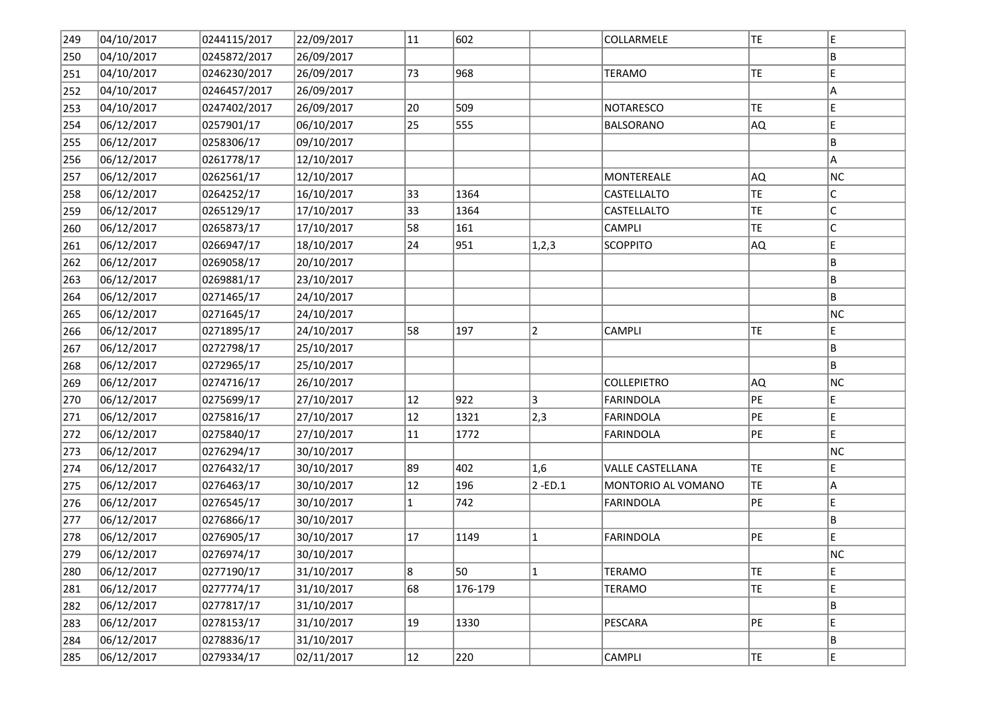| 249 | 04/10/2017 | 0244115/2017 | 22/09/2017 | 11           | 602     |                | COLLARMELE              | TE        | E           |
|-----|------------|--------------|------------|--------------|---------|----------------|-------------------------|-----------|-------------|
| 250 | 04/10/2017 | 0245872/2017 | 26/09/2017 |              |         |                |                         |           | B.          |
| 251 | 04/10/2017 | 0246230/2017 | 26/09/2017 | 73           | 968     |                | <b>TERAMO</b>           | TE        | E           |
| 252 | 04/10/2017 | 0246457/2017 | 26/09/2017 |              |         |                |                         |           | A           |
| 253 | 04/10/2017 | 0247402/2017 | 26/09/2017 | 20           | 509     |                | <b>NOTARESCO</b>        | TE        | E           |
| 254 | 06/12/2017 | 0257901/17   | 06/10/2017 | 25           | 555     |                | <b>BALSORANO</b>        | AQ.       | E           |
| 255 | 06/12/2017 | 0258306/17   | 09/10/2017 |              |         |                |                         |           | B           |
| 256 | 06/12/2017 | 0261778/17   | 12/10/2017 |              |         |                |                         |           | A           |
| 257 | 06/12/2017 | 0262561/17   | 12/10/2017 |              |         |                | <b>MONTEREALE</b>       | AQ.       | NC.         |
| 258 | 06/12/2017 | 0264252/17   | 16/10/2017 | 33           | 1364    |                | CASTELLALTO             | TE        | $\mathsf C$ |
| 259 | 06/12/2017 | 0265129/17   | 17/10/2017 | 33           | 1364    |                | CASTELLALTO             | TE        | c           |
| 260 | 06/12/2017 | 0265873/17   | 17/10/2017 | 58           | 161     |                | <b>CAMPLI</b>           | TE        | c           |
| 261 | 06/12/2017 | 0266947/17   | 18/10/2017 | 24           | 951     | 1, 2, 3        | <b>SCOPPITO</b>         | AQ.       | E.          |
| 262 | 06/12/2017 | 0269058/17   | 20/10/2017 |              |         |                |                         |           | B           |
| 263 | 06/12/2017 | 0269881/17   | 23/10/2017 |              |         |                |                         |           | B           |
| 264 | 06/12/2017 | 0271465/17   | 24/10/2017 |              |         |                |                         |           | B.          |
| 265 | 06/12/2017 | 0271645/17   | 24/10/2017 |              |         |                |                         |           | NC          |
| 266 | 06/12/2017 | 0271895/17   | 24/10/2017 | 58           | 197     | $\overline{2}$ | <b>CAMPLI</b>           | TE.       | E           |
| 267 | 06/12/2017 | 0272798/17   | 25/10/2017 |              |         |                |                         |           | B           |
| 268 | 06/12/2017 | 0272965/17   | 25/10/2017 |              |         |                |                         |           | B           |
| 269 | 06/12/2017 | 0274716/17   | 26/10/2017 |              |         |                | <b>COLLEPIETRO</b>      | AQ.       | NC.         |
| 270 | 06/12/2017 | 0275699/17   | 27/10/2017 | 12           | 922     | 3              | <b>FARINDOLA</b>        | PE        | E           |
| 271 | 06/12/2017 | 0275816/17   | 27/10/2017 | $ 12\rangle$ | 1321    | 2,3            | <b>FARINDOLA</b>        | PE        | E           |
| 272 | 06/12/2017 | 0275840/17   | 27/10/2017 | 11           | 1772    |                | <b>FARINDOLA</b>        | PE        | E.          |
| 273 | 06/12/2017 | 0276294/17   | 30/10/2017 |              |         |                |                         |           | NC.         |
| 274 | 06/12/2017 | 0276432/17   | 30/10/2017 | 89           | 402     | 1,6            | <b>VALLE CASTELLANA</b> | TE        | E           |
| 275 | 06/12/2017 | 0276463/17   | 30/10/2017 | $ 12\rangle$ | 196     | $2 - ED.1$     | MONTORIO AL VOMANO      | <b>TE</b> | A           |
| 276 | 06/12/2017 | 0276545/17   | 30/10/2017 | $\mathbf{1}$ | 742     |                | <b>FARINDOLA</b>        | PE        | E           |
| 277 | 06/12/2017 | 0276866/17   | 30/10/2017 |              |         |                |                         |           | B           |
| 278 | 06/12/2017 | 0276905/17   | 30/10/2017 | 17           | 1149    | 1              | <b>FARINDOLA</b>        | PE        | E.          |
| 279 | 06/12/2017 | 0276974/17   | 30/10/2017 |              |         |                |                         |           | NC          |
| 280 | 06/12/2017 | 0277190/17   | 31/10/2017 | 8            | 50      | $\mathbf{1}$   | <b>TERAMO</b>           | TE        | E           |
| 281 | 06/12/2017 | 0277774/17   | 31/10/2017 | 68           | 176-179 |                | <b>TERAMO</b>           | TE        | E           |
| 282 | 06/12/2017 | 0277817/17   | 31/10/2017 |              |         |                |                         |           | B           |
| 283 | 06/12/2017 | 0278153/17   | 31/10/2017 | $ 19\rangle$ | 1330    |                | PESCARA                 | PE        | E           |
| 284 | 06/12/2017 | 0278836/17   | 31/10/2017 |              |         |                |                         |           | B           |
| 285 | 06/12/2017 | 0279334/17   | 02/11/2017 | $ 12\rangle$ | 220     |                | CAMPLI                  | TE.       | E           |